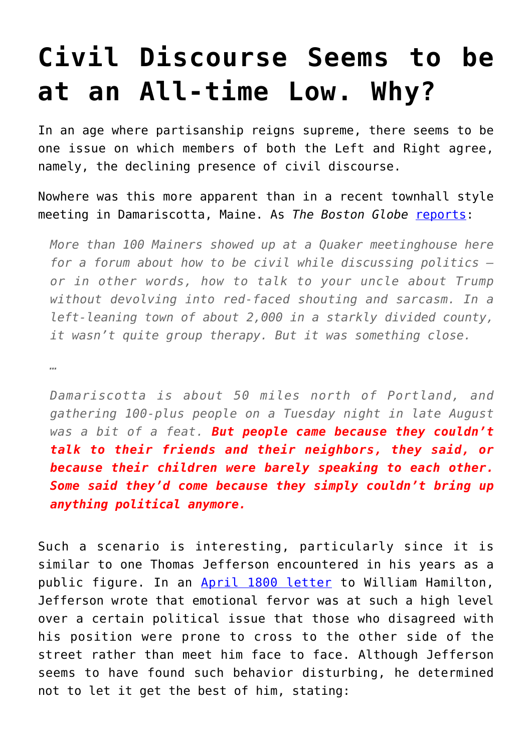## **[Civil Discourse Seems to be](https://intellectualtakeout.org/2017/09/civil-discourse-seems-to-be-at-an-all-time-low-why/) [at an All-time Low. Why?](https://intellectualtakeout.org/2017/09/civil-discourse-seems-to-be-at-an-all-time-low-why/)**

In an age where partisanship reigns supreme, there seems to be one issue on which members of both the Left and Right agree, namely, the declining presence of civil discourse.

Nowhere was this more apparent than in a recent townhall style meeting in Damariscotta, Maine. As *The Boston Globe* [reports](http://www.bostonglobe.com/metro/2017/09/04/spreading-civility-one-mainer-time/uQo57zB1tBf3EN78jMQGdN/story.html?et_rid=26678096&s_campaign=todaysheadlines:newsletter):

*More than 100 Mainers showed up at a Quaker meetinghouse here for a forum about how to be civil while discussing politics or in other words, how to talk to your uncle about Trump without devolving into red-faced shouting and sarcasm. In a left-leaning town of about 2,000 in a starkly divided county, it wasn't quite group therapy. But it was something close.*

*…*

*Damariscotta is about 50 miles north of Portland, and gathering 100-plus people on a Tuesday night in late August was a bit of a feat. But people came because they couldn't talk to their friends and their neighbors, they said, or because their children were barely speaking to each other. Some said they'd come because they simply couldn't bring up anything political anymore.*

Such a scenario is interesting, particularly since it is similar to one Thomas Jefferson encountered in his years as a public figure. In an [April 1800 letter](https://founders.archives.gov/documents/Jefferson/01-31-02-0445) to William Hamilton, Jefferson wrote that emotional fervor was at such a high level over a certain political issue that those who disagreed with his position were prone to cross to the other side of the street rather than meet him face to face. Although Jefferson seems to have found such behavior disturbing, he determined not to let it get the best of him, stating: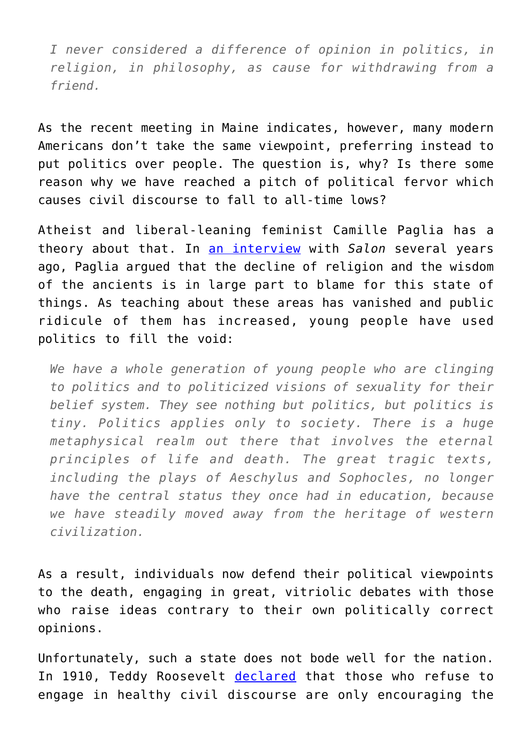*I never considered a difference of opinion in politics, in religion, in philosophy, as cause for withdrawing from a friend.*

As the recent meeting in Maine indicates, however, many modern Americans don't take the same viewpoint, preferring instead to put politics over people. The question is, why? Is there some reason why we have reached a pitch of political fervor which causes civil discourse to fall to all-time lows?

Atheist and liberal-leaning feminist Camille Paglia has a theory about that. In [an interview](http://www.salon.com/2015/07/29/camille_paglia_takes_on_jon_stewart_trump_sanders_liberals_think_of_themselves_as_very_open_minded_but_that%E2%80%99s_simply_not_true/) with *Salon* several years ago, Paglia argued that the decline of religion and the wisdom of the ancients is in large part to blame for this state of things. As teaching about these areas has vanished and public ridicule of them has increased, young people have used politics to fill the void:

*We have a whole generation of young people who are clinging to politics and to politicized visions of sexuality for their belief system. They see nothing but politics, but politics is tiny. Politics applies only to society. There is a huge metaphysical realm out there that involves the eternal principles of life and death. The great tragic texts, including the plays of Aeschylus and Sophocles, no longer have the central status they once had in education, because we have steadily moved away from the heritage of western civilization.*

As a result, individuals now defend their political viewpoints to the death, engaging in great, vitriolic debates with those who raise ideas contrary to their own politically correct opinions.

Unfortunately, such a state does not bode well for the nation. In 1910, Teddy Roosevelt [declared](http://www.theodore-roosevelt.com/images/research/speeches/maninthearena.pdf) that those who refuse to engage in healthy civil discourse are only encouraging the